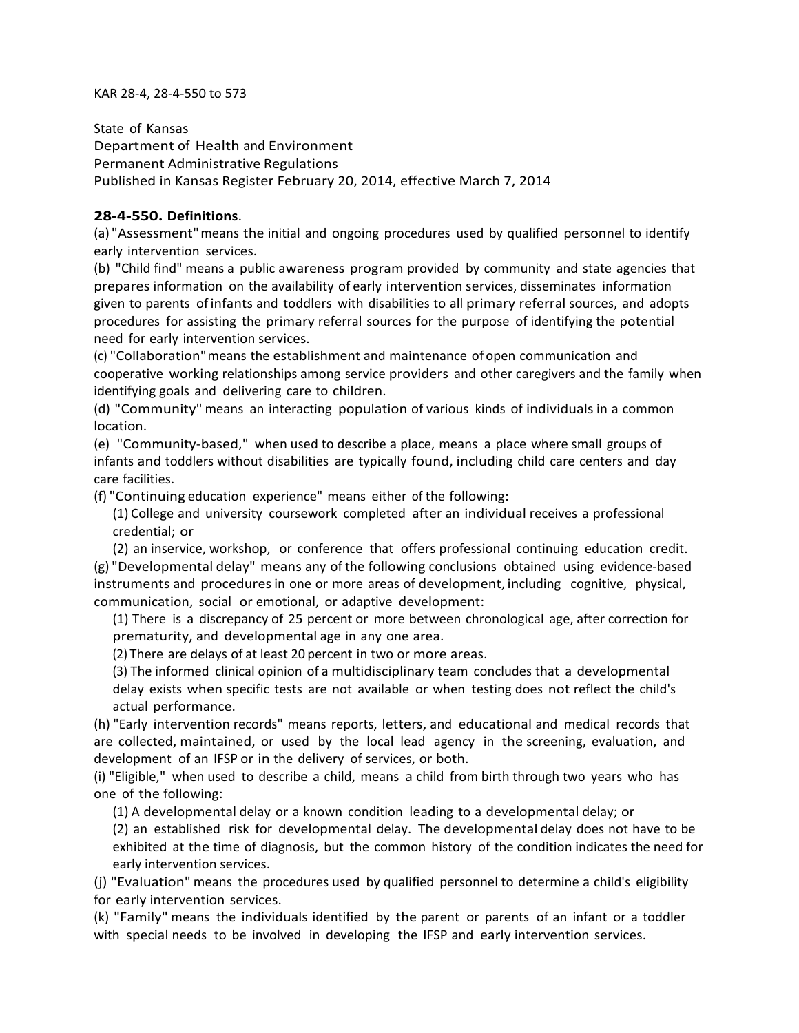KAR 28-4, 28-4-550 to 573

State of Kansas Department of Health and Environment Permanent Administrative Regulations Published in Kansas Register February 20, 2014, effective March 7, 2014

# **28-4-550. Definitions**.

(a) "Assessment"means the initial and ongoing procedures used by qualified personnel to identify early intervention services.

(b) "Child find" means a public awareness program provided by community and state agencies that prepares information on the availability of early intervention services, disseminates information given to parents of infants and toddlers with disabilities to all primary referral sources, and adopts procedures for assisting the primary referral sources for the purpose of identifying the potential need for early intervention services.

(c) "Collaboration"means the establishment and maintenance of open communication and cooperative working relationships among service providers and other caregivers and the family when identifying goals and delivering care to children.

(d) "Community" means an interacting population of various kinds of individuals in a common location.

(e) "Community-based," when used to describe a place, means a place where small groups of infants and toddlers without disabilities are typically found, including child care centers and day care facilities.

(f) "Continuing education experience" means either of the following:

(1) College and university coursework completed after an individual receives a professional credential; or

(2) an inservice, workshop, or conference that offers professional continuing education credit. (g) "Developmental delay" means any of the following conclusions obtained using evidence-based instruments and procedures in one or more areas of development, including cognitive, physical, communication, social or emotional, or adaptive development:

(1) There is a discrepancy of 25 percent or more between chronological age, after correction for prematurity, and developmental age in any one area.

(2) There are delays of at least 20 percent in two or more areas.

(3) The informed clinical opinion of a multidisciplinary team concludes that a developmental delay exists when specific tests are not available or when testing does not reflect the child's actual performance.

(h) "Early intervention records" means reports, letters, and educational and medical records that are collected, maintained, or used by the local lead agency in the screening, evaluation, and development of an IFSP or in the delivery of services, or both.

(i) "Eligible," when used to describe a child, means a child from birth through two years who has one of the following:

(1) A developmental delay or a known condition leading to a developmental delay; or

(2) an established risk for developmental delay. The developmental delay does not have to be exhibited at the time of diagnosis, but the common history of the condition indicates the need for early intervention services.

(j) "Evaluation" means the procedures used by qualified personnel to determine a child's eligibility for early intervention services.

(k) "Family" means the individuals identified by the parent or parents of an infant or a toddler with special needs to be involved in developing the IFSP and early intervention services.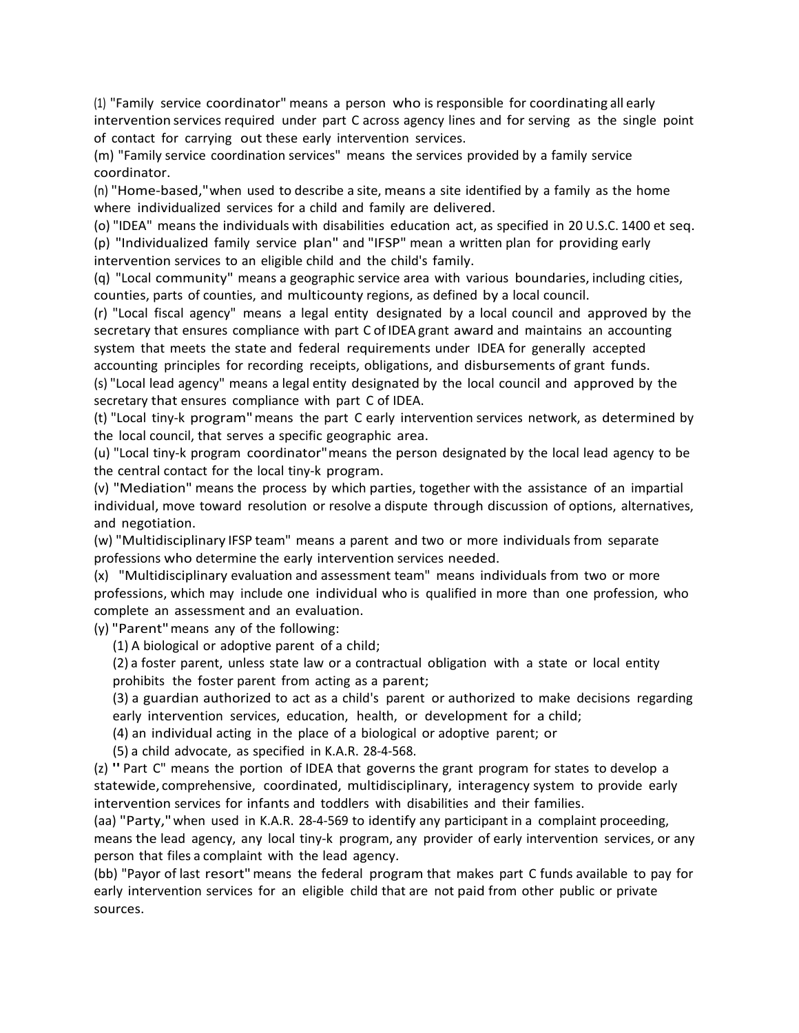(1) "Family service coordinator" means a person who is responsible for coordinating all early intervention services required under part C across agency lines and for serving as the single point of contact for carrying out these early intervention services.

(m) "Family service coordination services" means the services provided by a family service coordinator.

(n) "Home-based,"when used to describe a site, means a site identified by a family as the home where individualized services for a child and family are delivered.

(o) "IDEA" means the individuals with disabilities education act, as specified in 20 U.S.C. 1400 et seq. (p) "Individualized family service plan" and "IFSP" mean a written plan for providing early intervention services to an eligible child and the child's family.

(q) "Local community" means a geographic service area with various boundaries, including cities, counties, parts of counties, and multicounty regions, as defined by a local council.

(r) "Local fiscal agency" means a legal entity designated by a local council and approved by the secretary that ensures compliance with part C of IDEA grant award and maintains an accounting system that meets the state and federal requirements under IDEA for generally accepted accounting principles for recording receipts, obligations, and disbursements of grant funds. (s) "Local lead agency" means a legal entity designated by the local council and approved by the secretary that ensures compliance with part C of IDEA.

(t) "Local tiny-k program"means the part C early intervention services network, as determined by the local council, that serves a specific geographic area.

(u) "Local tiny-k program coordinator"means the person designated by the local lead agency to be the central contact for the local tiny-k program.

(v) "Mediation" means the process by which parties, together with the assistance of an impartial individual, move toward resolution or resolve a dispute through discussion of options, alternatives, and negotiation.

(w) "Multidisciplinary IFSP team" means a parent and two or more individuals from separate professions who determine the early intervention services needed.

(x) "Multidisciplinary evaluation and assessment team" means individuals from two or more professions, which may include one individual who is qualified in more than one profession, who complete an assessment and an evaluation.

(y) "Parent"means any of the following:

(1) A biological or adoptive parent of a child;

(2) a foster parent, unless state law or a contractual obligation with a state or local entity prohibits the foster parent from acting as a parent;

(3) a guardian authorized to act as a child's parent or authorized to make decisions regarding early intervention services, education, health, or development for a child;

(4) an individual acting in the place of a biological or adoptive parent; or

(5) a child advocate, as specified in K.A.R. 28-4-568.

(z) "Part C" means the portion of IDEA that governs the grant program for states to develop <sup>a</sup> statewide, comprehensive, coordinated, multidisciplinary, interagency system to provide early intervention services for infants and toddlers with disabilities and their families.

(aa) "Party,"when used in K.A.R. 28-4-569 to identify any participant in a complaint proceeding, means the lead agency, any local tiny-k program, any provider of early intervention services, or any person that files a complaint with the lead agency.

(bb) "Payor of last resort"means the federal program that makes part C funds available to pay for early intervention services for an eligible child that are not paid from other public or private sources.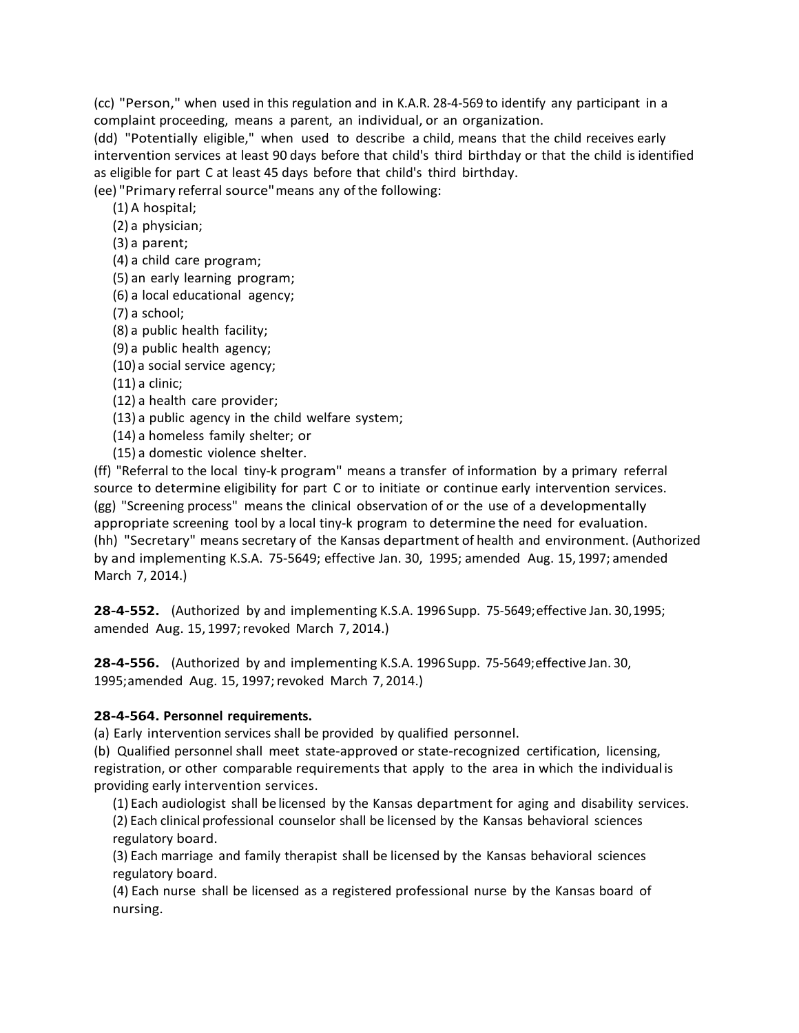(cc) "Person," when used in this regulation and in K.A.R. 28-4-569 to identify any participant in a complaint proceeding, means a parent, an individual, or an organization.

(dd) "Potentially eligible," when used to describe a child, means that the child receives early intervention services at least 90 days before that child's third birthday or that the child isidentified as eligible for part C at least 45 days before that child's third birthday.

(ee) "Primary referral source"means any of the following:

(1) A hospital;

(2) a physician;

(3) a parent;

(4) a child care program;

(5) an early learning program;

(6) a local educational agency;

(7) a school;

(8) a public health facility;

(9) a public health agency;

(10) a social service agency;

(11) a clinic;

(12) a health care provider;

(13) a public agency in the child welfare system;

(14) a homeless family shelter; or

(15) a domestic violence shelter.

(ff) "Referral to the local tiny-k program" means a transfer of information by a primary referral source to determine eligibility for part C or to initiate or continue early intervention services. (gg) "Screening process" means the clinical observation of or the use of a developmentally appropriate screening tool by a local tiny-k program to determine the need for evaluation. (hh) "Secretary" means secretary of the Kansas department of health and environment. (Authorized by and implementing K.S.A. 75-5649; effective Jan. 30, 1995; amended Aug. 15, 1997; amended March 7, 2014.)

**28-4-552.** (Authorized by and implementing K.S.A. 1996 Supp. 75-5649;effective Jan. 30,1995; amended Aug. 15, 1997; revoked March 7, 2014.)

**28-4-556.** (Authorized by and implementing K.S.A. 1996 Supp. 75-5649;effective Jan. 30, 1995;amended Aug. 15, 1997;revoked March 7, 2014.)

#### **28-4-564. Personnel requirements.**

(a) Early intervention services shall be provided by qualified personnel.

(b) Qualified personnel shall meet state-approved or state-recognized certification, licensing, registration, or other comparable requirements that apply to the area in which the individual is providing early intervention services.

(1) Each audiologist shall be licensed by the Kansas department for aging and disability services. (2) Each clinical professional counselor shall be licensed by the Kansas behavioral sciences regulatory board.

(3) Each marriage and family therapist shall be licensed by the Kansas behavioral sciences regulatory board.

(4) Each nurse shall be licensed as a registered professional nurse by the Kansas board of nursing.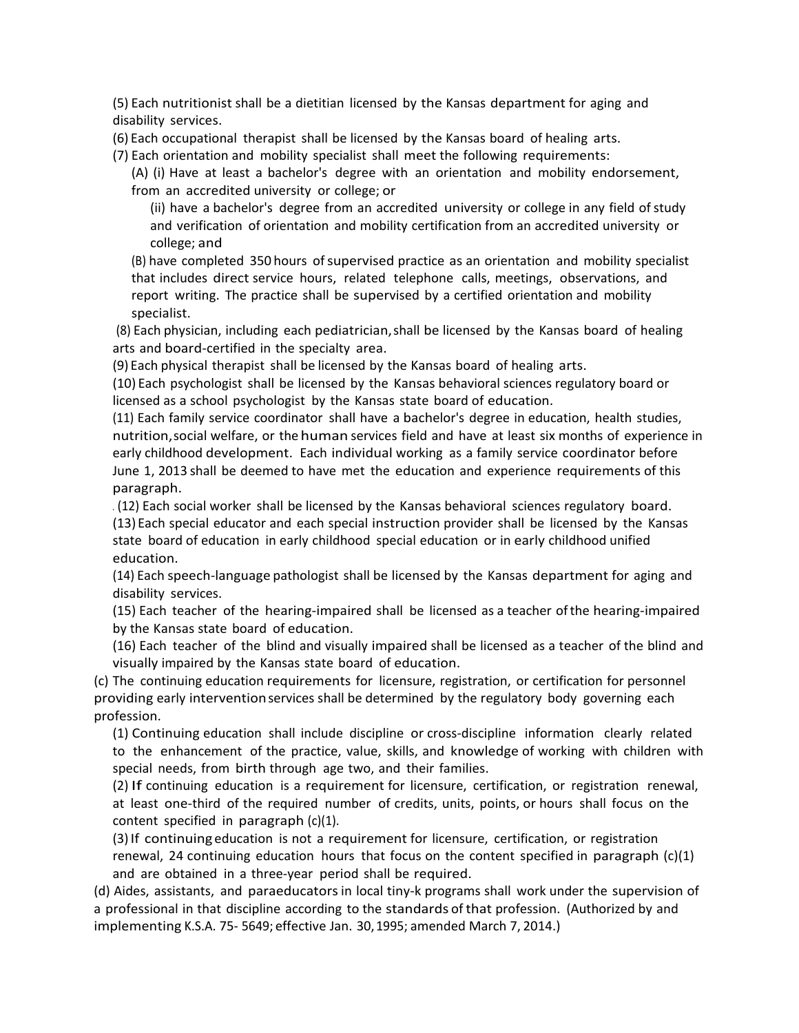(5) Each nutritionist shall be a dietitian licensed by the Kansas department for aging and disability services.

(6) Each occupational therapist shall be licensed by the Kansas board of healing arts.

(7) Each orientation and mobility specialist shall meet the following requirements:

(A) (i) Have at least a bachelor's degree with an orientation and mobility endorsement, from an accredited university or college; or

(ii) have a bachelor's degree from an accredited university or college in any field of study and verification of orientation and mobility certification from an accredited university or college; and

(B) have completed 350 hours ofsupervised practice as an orientation and mobility specialist that includes direct service hours, related telephone calls, meetings, observations, and report writing. The practice shall be supervised by a certified orientation and mobility specialist.

(8) Each physician, including each pediatrician,shall be licensed by the Kansas board of healing arts and board-certified in the specialty area.

(9) Each physical therapist shall be licensed by the Kansas board of healing arts.

(10) Each psychologist shall be licensed by the Kansas behavioral sciences regulatory board or licensed as a school psychologist by the Kansas state board of education.

(11) Each family service coordinator shall have a bachelor's degree in education, health studies, nutrition,social welfare, or the human services field and have at least six months of experience in early childhood development. Each individual working as a family service coordinator before June 1, 2013 shall be deemed to have met the education and experience requirements of this paragraph.

. (12) Each social worker shall be licensed by the Kansas behavioral sciences regulatory board.

(13) Each special educator and each special instruction provider shall be licensed by the Kansas state board of education in early childhood special education or in early childhood unified education.

(14) Each speech-language pathologist shall be licensed by the Kansas department for aging and disability services.

(15) Each teacher of the hearing-impaired shall be licensed as a teacher ofthe hearing-impaired by the Kansas state board of education.

(16) Each teacher of the blind and visually impaired shall be licensed as a teacher of the blind and visually impaired by the Kansas state board of education.

(c) The continuing education requirements for licensure, registration, or certification for personnel providing early interventionservices shall be determined by the regulatory body governing each profession.

(1) Continuing education shall include discipline or cross-discipline information clearly related to the enhancement of the practice, value, skills, and knowledge of working with children with special needs, from birth through age two, and their families.

(2) If continuing education is a requirement for licensure, certification, or registration renewal, at least one-third of the required number of credits, units, points, or hours shall focus on the content specified in paragraph (c)(1).

(3)If continuing education is not a requirement for licensure, certification, or registration renewal, 24 continuing education hours that focus on the content specified in paragraph  $(c)(1)$ and are obtained in a three-year period shall be required.

(d) Aides, assistants, and paraeducatorsin local tiny-k programs shall work under the supervision of a professional in that discipline according to the standards of that profession. (Authorized by and implementing K.S.A. 75- 5649; effective Jan. 30,1995; amended March 7, 2014.)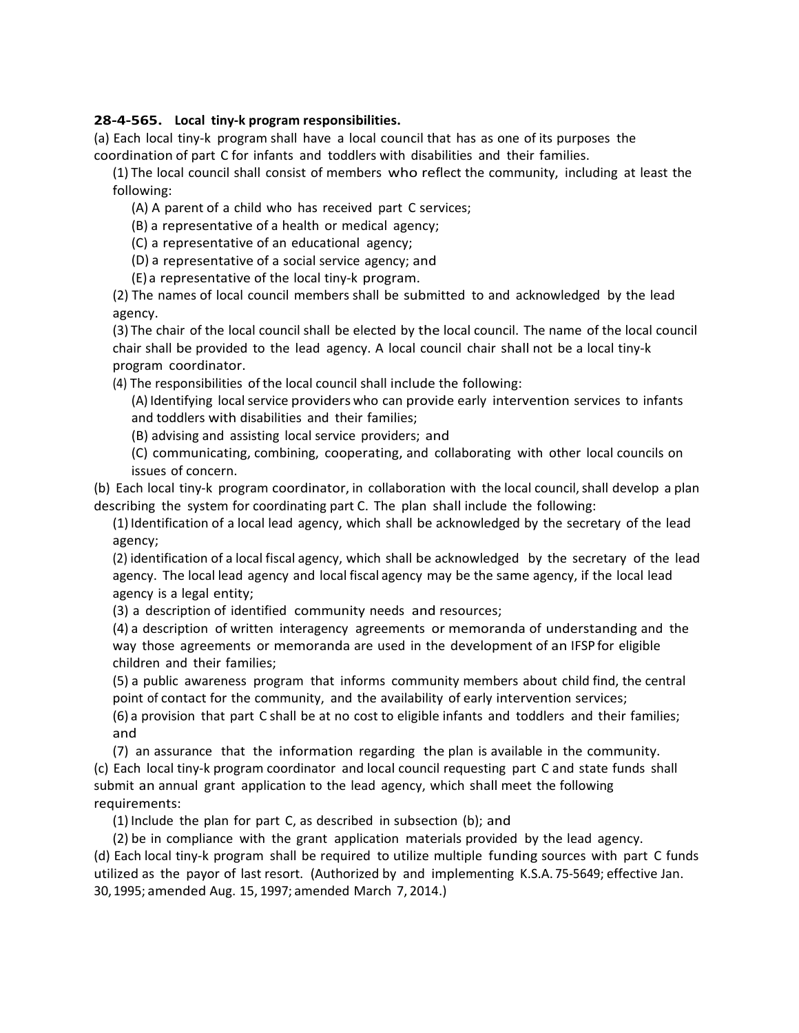## **28-4-565. Local tiny-k program responsibilities.**

(a) Each local tiny-k program shall have a local council that has as one of its purposes the coordination of part C for infants and toddlers with disabilities and their families.

(1) The local council shall consist of members who reflect the community, including at least the following:

(A) A parent of a child who has received part C services;

(B) a representative of a health or medical agency;

(C) a representative of an educational agency;

(D) a representative of a social service agency; and

(E) a representative of the local tiny-k program.

(2) The names of local council members shall be submitted to and acknowledged by the lead agency.

(3) The chair of the local council shall be elected by the local council. The name of the local council chair shall be provided to the lead agency. A local council chair shall not be a local tiny-k program coordinator.

(4) The responsibilities of the local council shall include the following:

(A) Identifying localservice providers who can provide early intervention services to infants and toddlers with disabilities and their families;

(B) advising and assisting local service providers; and

(C) communicating, combining, cooperating, and collaborating with other local councils on issues of concern.

(b) Each local tiny-k program coordinator, in collaboration with the local council,shall develop a plan describing the system for coordinating part C. The plan shall include the following:

(1)Identification of a local lead agency, which shall be acknowledged by the secretary of the lead agency;

(2) identification of a local fiscal agency, which shall be acknowledged by the secretary of the lead agency. The local lead agency and local fiscal agency may be the same agency, if the local lead agency is a legal entity;

(3) a description of identified community needs and resources;

(4) a description of written interagency agreements or memoranda of understanding and the way those agreements or memoranda are used in the development of an IFSP for eligible children and their families;

(5) a public awareness program that informs community members about child find, the central point of contact for the community, and the availability of early intervention services;

(6) a provision that part C shall be at no cost to eligible infants and toddlers and their families; and

(7) an assurance that the information regarding the plan is available in the community. (c) Each local tiny-k program coordinator and local council requesting part C and state funds shall submit an annual grant application to the lead agency, which shall meet the following requirements:

(1) Include the plan for part C, as described in subsection (b); and

(2) be in compliance with the grant application materials provided by the lead agency. (d) Each local tiny-k program shall be required to utilize multiple funding sources with part C funds utilized as the payor of last resort. (Authorized by and implementing K.S.A. 75-5649; effective Jan. 30,1995; amended Aug. 15, 1997; amended March 7, 2014.)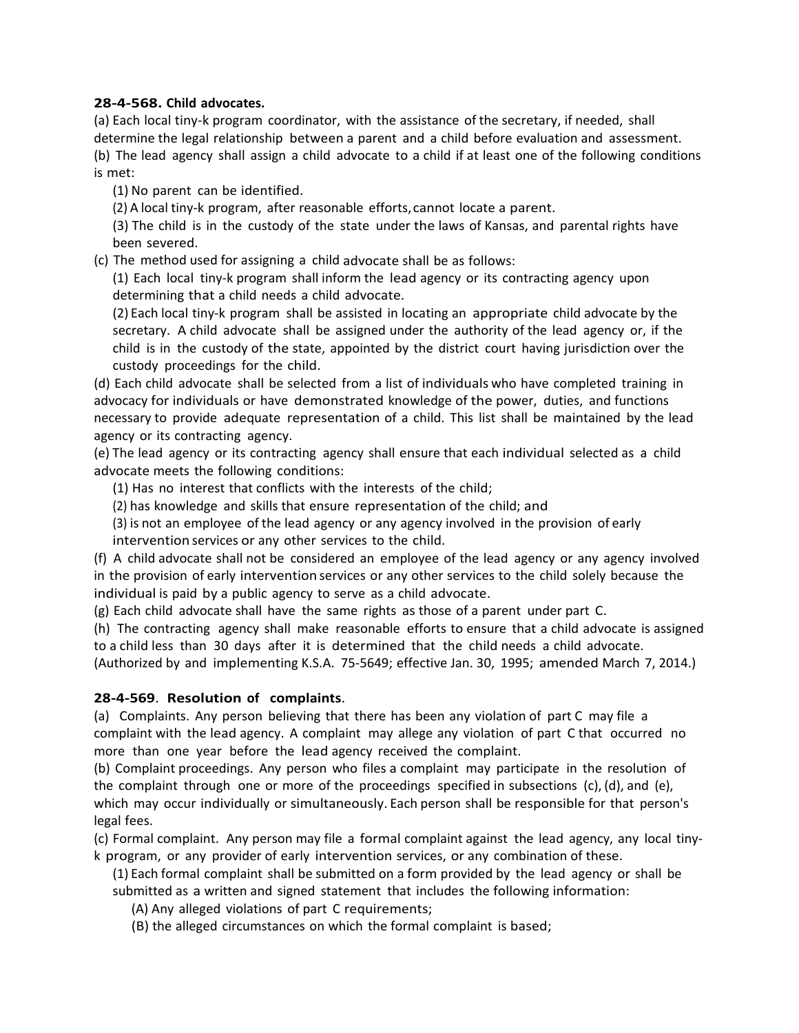## **28-4-568. Child advocates.**

(a) Each local tiny-k program coordinator, with the assistance of the secretary, if needed, shall determine the legal relationship between a parent and a child before evaluation and assessment. (b) The lead agency shall assign a child advocate to a child if at least one of the following conditions is met:

(1) No parent can be identified.

(2) A local tiny-k program, after reasonable efforts,cannot locate a parent.

(3) The child is in the custody of the state under the laws of Kansas, and parental rights have been severed.

(c) The method used for assigning a child advocate shall be as follows:

(1) Each local tiny-k program shall inform the lead agency or its contracting agency upon determining that a child needs a child advocate.

(2) Each local tiny-k program shall be assisted in locating an appropriate child advocate by the secretary. A child advocate shall be assigned under the authority of the lead agency or, if the child is in the custody of the state, appointed by the district court having jurisdiction over the custody proceedings for the child.

(d) Each child advocate shall be selected from a list of individuals who have completed training in advocacy for individuals or have demonstrated knowledge of the power, duties, and functions necessary to provide adequate representation of a child. This list shall be maintained by the lead agency or its contracting agency.

(e) The lead agency or its contracting agency shall ensure that each individual selected as a child advocate meets the following conditions:

(1) Has no interest that conflicts with the interests of the child;

(2) has knowledge and skills that ensure representation of the child; and

(3) is not an employee of the lead agency or any agency involved in the provision of early intervention services or any other services to the child.

(f) A child advocate shall not be considered an employee of the lead agency or any agency involved in the provision of early intervention services or any other services to the child solely because the individual is paid by a public agency to serve as a child advocate.

(g) Each child advocate shall have the same rights as those of a parent under part C.

(h) The contracting agency shall make reasonable efforts to ensure that a child advocate is assigned to a child less than 30 days after it is determined that the child needs a child advocate.

(Authorized by and implementing K.S.A. 75-5649; effective Jan. 30, 1995; amended March 7, 2014.)

## **28-4-569**. **Resolution of complaints**.

(a) Complaints. Any person believing that there has been any violation of part C may file a complaint with the lead agency. A complaint may allege any violation of part C that occurred no more than one year before the lead agency received the complaint.

(b) Complaint proceedings. Any person who files a complaint may participate in the resolution of the complaint through one or more of the proceedings specified in subsections (c), (d), and (e), which may occur individually or simultaneously. Each person shall be responsible for that person's legal fees.

(c) Formal complaint. Any person may file a formal complaint against the lead agency, any local tinyk program, or any provider of early intervention services, or any combination of these.

(1) Each formal complaint shall be submitted on a form provided by the lead agency or shall be submitted as a written and signed statement that includes the following information:

(A) Any alleged violations of part C requirements;

(B) the alleged circumstances on which the formal complaint is based;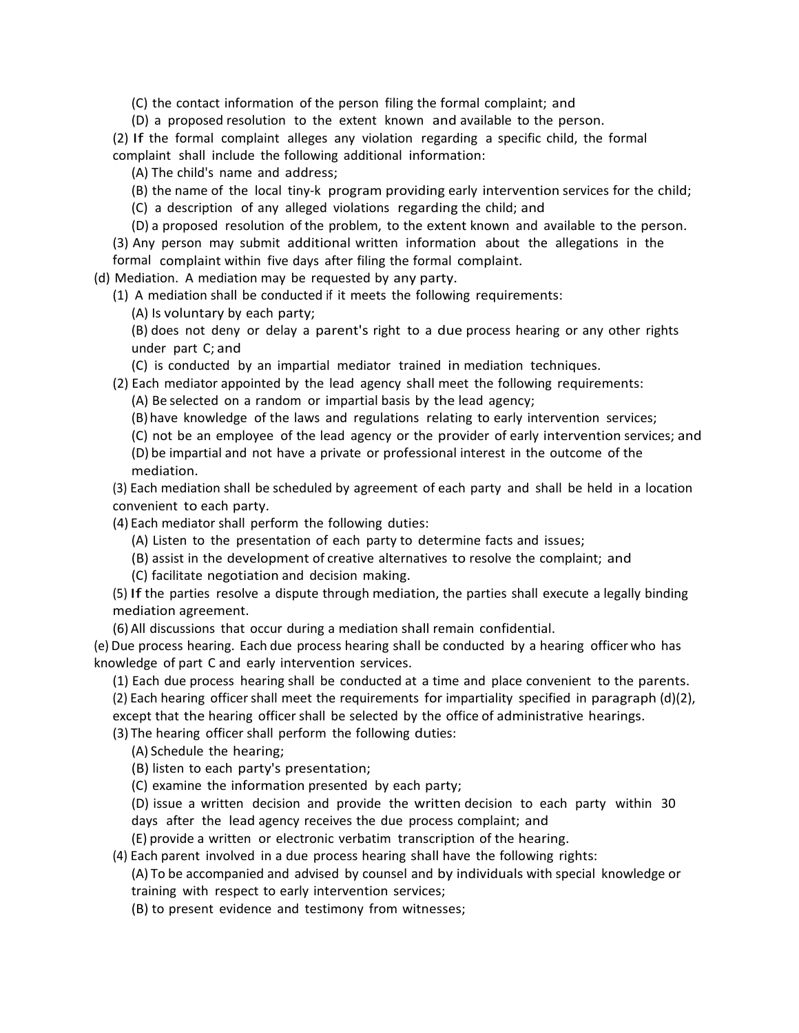(C) the contact information of the person filing the formal complaint; and

(D) a proposed resolution to the extent known and available to the person.

(2) If the formal complaint alleges any violation regarding a specific child, the formal complaint shall include the following additional information:

(A) The child's name and address;

(B) the name of the local tiny-k program providing early intervention services for the child;

(C) a description of any alleged violations regarding the child; and

(D) a proposed resolution of the problem, to the extent known and available to the person.

(3) Any person may submit additional written information about the allegations in the formal complaint within five days after filing the formal complaint.

(d) Mediation. A mediation may be requested by any party.

(1) A mediation shall be conducted if it meets the following requirements:

(A) Is voluntary by each party;

(B) does not deny or delay a parent's right to a due process hearing or any other rights under part C; and

(C) is conducted by an impartial mediator trained in mediation techniques.

#### (2) Each mediator appointed by the lead agency shall meet the following requirements:

(A) Be selected on a random or impartial basis by the lead agency;

(B) have knowledge of the laws and regulations relating to early intervention services;

(C) not be an employee of the lead agency or the provider of early intervention services; and

(D) be impartial and not have a private or professional interest in the outcome of the mediation.

(3) Each mediation shall be scheduled by agreement of each party and shall be held in a location convenient to each party.

(4) Each mediator shall perform the following duties:

(A) Listen to the presentation of each party to determine facts and issues;

(B) assist in the development of creative alternatives to resolve the complaint; and

(C) facilitate negotiation and decision making.

(5) If the parties resolve a dispute through mediation, the parties shall execute a legally binding mediation agreement.

(6) All discussions that occur during a mediation shall remain confidential.

(e) Due process hearing. Each due process hearing shall be conducted by a hearing officer who has knowledge of part C and early intervention services.

(1) Each due process hearing shall be conducted at a time and place convenient to the parents.  $(2)$  Each hearing officer shall meet the requirements for impartiality specified in paragraph  $(d)(2)$ ,

except that the hearing officer shall be selected by the office of administrative hearings.

(3) The hearing officer shall perform the following duties:

(A) Schedule the hearing;

(B) listen to each party's presentation;

(C) examine the information presented by each party;

(D) issue a written decision and provide the written decision to each party within 30 days after the lead agency receives the due process complaint; and

(E) provide a written or electronic verbatim transcription of the hearing.

(4) Each parent involved in a due process hearing shall have the following rights: (A) To be accompanied and advised by counsel and by individuals with special knowledge or training with respect to early intervention services;

(B) to present evidence and testimony from witnesses;